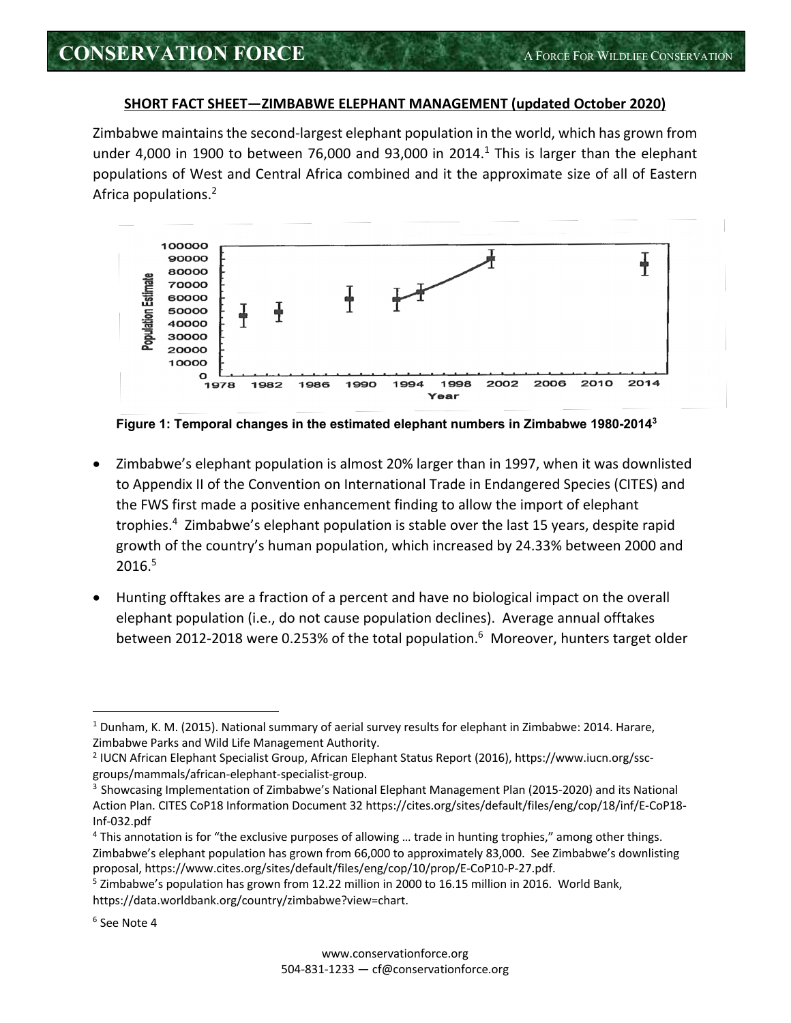## **SHORT FACT SHEET—ZIMBABWE ELEPHANT MANAGEMENT (updated October 2020)**

Zimbabwe maintains the second-largest elephant population in the world, which has grown from under 4,000 in 1900 to between 76,000 and 93,000 in 2014. $<sup>1</sup>$  This is larger than the elephant</sup> populations of West and Central Africa combined and it the approximate size of all of Eastern Africa populations. 2



**Figure 1: Temporal changes in the estimated elephant numbers in Zimbabwe 1980-20143**

- Zimbabwe's elephant population is almost 20% larger than in 1997, when it was downlisted to Appendix II of the Convention on International Trade in Endangered Species (CITES) and the FWS first made a positive enhancement finding to allow the import of elephant trophies.<sup>4</sup> Zimbabwe's elephant population is stable over the last 15 years, despite rapid growth of the country's human population, which increased by 24.33% between 2000 and 2016.5
- Hunting offtakes are a fraction of a percent and have no biological impact on the overall elephant population (i.e., do not cause population declines). Average annual offtakes between 2012-2018 were 0.253% of the total population.<sup>6</sup> Moreover, hunters target older

<sup>1</sup> Dunham, K. M. (2015). National summary of aerial survey results for elephant in Zimbabwe: 2014. Harare, Zimbabwe Parks and Wild Life Management Authority.

<sup>2</sup> IUCN African Elephant Specialist Group, African Elephant Status Report (2016), https://www.iucn.org/sscgroups/mammals/african-elephant-specialist-group.

<sup>3</sup> Showcasing Implementation of Zimbabwe's National Elephant Management Plan (2015-2020) and its National Action Plan. CITES CoP18 Information Document 32 https://cites.org/sites/default/files/eng/cop/18/inf/E-CoP18- Inf-032.pdf

<sup>4</sup> This annotation is for "the exclusive purposes of allowing … trade in hunting trophies," among other things. Zimbabwe's elephant population has grown from 66,000 to approximately 83,000. See Zimbabwe's downlisting proposal, https://www.cites.org/sites/default/files/eng/cop/10/prop/E-CoP10-P-27.pdf.

<sup>&</sup>lt;sup>5</sup> Zimbabwe's population has grown from 12.22 million in 2000 to 16.15 million in 2016. World Bank, https://data.worldbank.org/country/zimbabwe?view=chart.

<sup>6</sup> See Note 4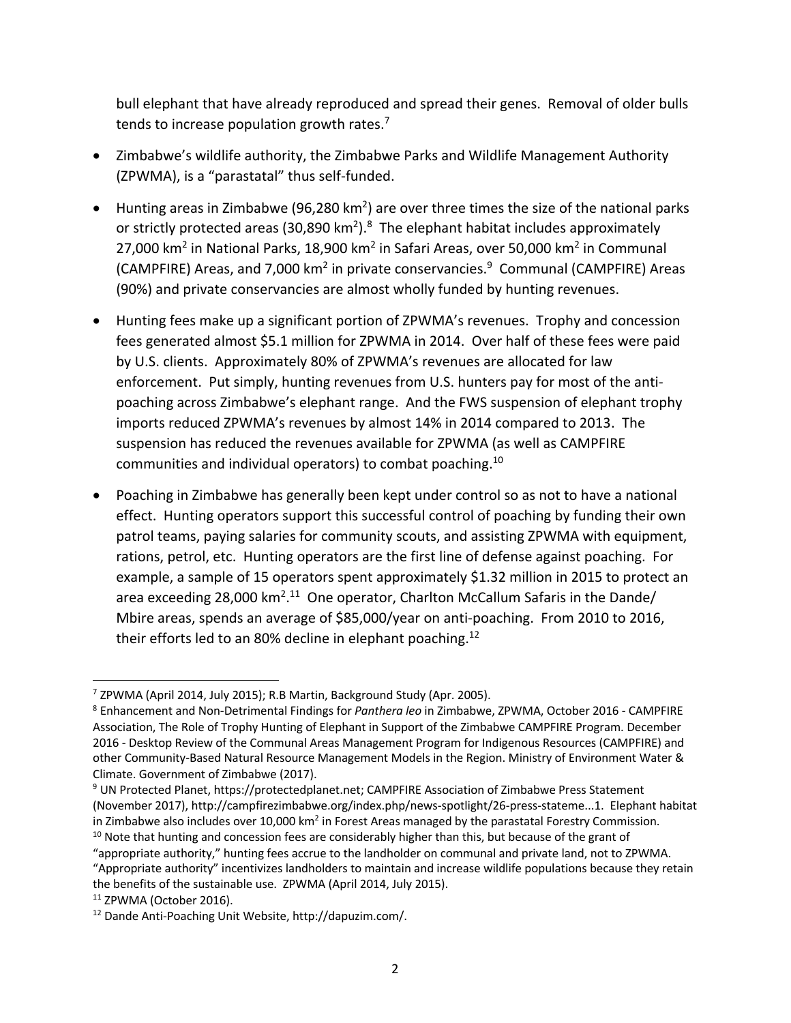bull elephant that have already reproduced and spread their genes. Removal of older bulls tends to increase population growth rates. $<sup>7</sup>$ </sup>

- Zimbabwe's wildlife authority, the Zimbabwe Parks and Wildlife Management Authority (ZPWMA), is a "parastatal" thus self-funded.
- $\bullet$  Hunting areas in Zimbabwe (96,280 km<sup>2</sup>) are over three times the size of the national parks or strictly protected areas (30,890 km<sup>2</sup>).<sup>8</sup> The elephant habitat includes approximately 27,000 km<sup>2</sup> in National Parks, 18,900 km<sup>2</sup> in Safari Areas, over 50,000 km<sup>2</sup> in Communal (CAMPFIRE) Areas, and 7,000 km<sup>2</sup> in private conservancies.<sup>9</sup> Communal (CAMPFIRE) Areas (90%) and private conservancies are almost wholly funded by hunting revenues.
- Hunting fees make up a significant portion of ZPWMA's revenues. Trophy and concession fees generated almost \$5.1 million for ZPWMA in 2014. Over half of these fees were paid by U.S. clients. Approximately 80% of ZPWMA's revenues are allocated for law enforcement. Put simply, hunting revenues from U.S. hunters pay for most of the antipoaching across Zimbabwe's elephant range. And the FWS suspension of elephant trophy imports reduced ZPWMA's revenues by almost 14% in 2014 compared to 2013. The suspension has reduced the revenues available for ZPWMA (as well as CAMPFIRE communities and individual operators) to combat poaching.10
- Poaching in Zimbabwe has generally been kept under control so as not to have a national effect. Hunting operators support this successful control of poaching by funding their own patrol teams, paying salaries for community scouts, and assisting ZPWMA with equipment, rations, petrol, etc. Hunting operators are the first line of defense against poaching. For example, a sample of 15 operators spent approximately \$1.32 million in 2015 to protect an area exceeding 28,000  $km^2$ .<sup>11</sup> One operator, Charlton McCallum Safaris in the Dande/ Mbire areas, spends an average of \$85,000/year on anti-poaching. From 2010 to 2016, their efforts led to an 80% decline in elephant poaching.<sup>12</sup>

<sup>7</sup> ZPWMA (April 2014, July 2015); R.B Martin, Background Study (Apr. 2005).

<sup>8</sup> Enhancement and Non-Detrimental Findings for *Panthera leo* in Zimbabwe, ZPWMA, October 2016 - CAMPFIRE Association, The Role of Trophy Hunting of Elephant in Support of the Zimbabwe CAMPFIRE Program. December 2016 - Desktop Review of the Communal Areas Management Program for Indigenous Resources (CAMPFIRE) and other Community-Based Natural Resource Management Models in the Region. Ministry of Environment Water & Climate. Government of Zimbabwe (2017).

<sup>9</sup> UN Protected Planet, https://protectedplanet.net; CAMPFIRE Association of Zimbabwe Press Statement (November 2017), http://campfirezimbabwe.org/index.php/news-spotlight/26-press-stateme...1. Elephant habitat in Zimbabwe also includes over 10,000 km<sup>2</sup> in Forest Areas managed by the parastatal Forestry Commission.

 $10$  Note that hunting and concession fees are considerably higher than this, but because of the grant of "appropriate authority," hunting fees accrue to the landholder on communal and private land, not to ZPWMA. "Appropriate authority" incentivizes landholders to maintain and increase wildlife populations because they retain the benefits of the sustainable use. ZPWMA (April 2014, July 2015).

<sup>11</sup> ZPWMA (October 2016).

<sup>12</sup> Dande Anti-Poaching Unit Website, http://dapuzim.com/.